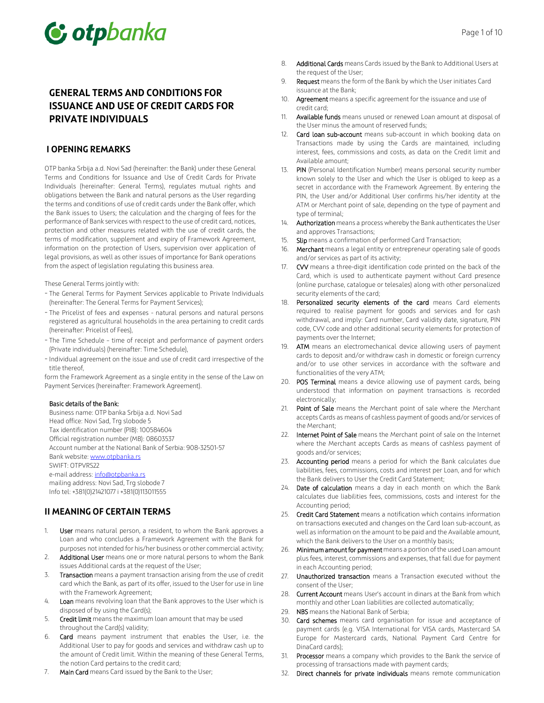# C otpbanka

# **GENERAL TERMS AND CONDITIONS FOR ISSUANCE AND USE OF CREDIT CARDS FOR PRIVATE INDIVIDUALS**

#### **I OPENING REMARKS**

OTP banka Srbija a.d. Novi Sad (hereinafter: the Bank) under these General Terms and Conditions for Issuance and Use of Credit Cards for Private Individuals (hereinafter: General Terms), regulates mutual rights and obligations between the Bank and natural persons as the User regarding the terms and conditions of use of credit cards under the Bank offer, which the Bank issues to Users; the calculation and the charging of fees for the performance of Bank services with respect to the use of credit card, notices, protection and other measures related with the use of credit cards, the terms of modification, supplement and expiry of Framework Agreement, information on the protection of Users, supervision over application of legal provisions, as well as other issues of importance for Bank operations from the aspect of legislation regulating this business area.

These General Terms jointly with:

- The General Terms for Payment Services applicable to Private Individuals (hereinafter: The General Terms for Payment Services);
- The Pricelist of fees and expenses natural persons and natural persons registered as agricultural households in the area pertaining to credit cards (hereinafter: Pricelist of Fees),
- The Time Schedule time of receipt and performance of payment orders (Private individuals) (hereinafter: Time Schedule),
- Individual agreement on the issue and use of credit card irrespective of the title thereof,

form the Framework Agreement as a single entity in the sense of the Law on Payment Services (hereinafter: Framework Agreement).

#### Basic details of the Bank:

Business name: OTP banka Srbija a.d. Novi Sad Head office: Novi Sad, Trg slobode 5 Tax identification number (PIB): 100584604 Official registration number (MB): 08603537 Account number at the National Bank of Serbia: 908-32501-57 Bank website: www.otpbanka.rs SWIFT: OTPVRS22 e-mail address: info@otpbanka.rs mailing address: Novi Sad, Trg slobode 7 Info tel: +381(0)21421077 i +381(0)113011555

# **II MEANING OF CERTAIN TERMS**

- 1. User means natural person, a resident, to whom the Bank approves a Loan and who concludes a Framework Agreement with the Bank for purposes not intended for his/her business or other commercial activity;
- 2. Additional User means one or more natural persons to whom the Bank issues Additional cards at the request of the User;
- 3. Transaction means a payment transaction arising from the use of credit card which the Bank, as part of its offer, issued to the User for use in line with the Framework Agreement;
- 4. Loan means revolving loan that the Bank approves to the User which is disposed of by using the Card(s);
- 5. Credit limit means the maximum loan amount that may be used throughout the Card(s) validity;
- 6. Card means payment instrument that enables the User, i.e. the Additional User to pay for goods and services and withdraw cash up to the amount of Credit limit. Within the meaning of these General Terms, the notion Card pertains to the credit card;
- 7. Main Card means Card issued by the Bank to the User;
- 8. Additional Cards means Cards issued by the Bank to Additional Users at the request of the User;
- 9. Request means the form of the Bank by which the User initiates Card issuance at the Bank;
- 10. Agreement means a specific agreement for the issuance and use of credit card;
- 11. Available funds means unused or renewed Loan amount at disposal of the User minus the amount of reserved funds;
- 12. Card loan sub-account means sub-account in which booking data on Transactions made by using the Cards are maintained, including interest, fees, commissions and costs, as data on the Credit limit and Available amount;
- 13. PIN (Personal Identification Number) means personal security number known solely to the User and which the User is obliged to keep as a secret in accordance with the Framework Agreement. By entering the PIN, the User and/or Additional User confirms his/her identity at the ATM or Merchant point of sale, depending on the type of payment and type of terminal;
- Authorization means a process whereby the Bank authenticates the User and approves Transactions;
- 15. Slip means a confirmation of performed Card Transaction;
- 16. Merchant means a legal entity or entrepreneur operating sale of goods and/or services as part of its activity;
- 17. CW means a three-digit identification code printed on the back of the Card, which is used to authenticate payment without Card presence (online purchase, catalogue or telesales) along with other personalized security elements of the card;
- Personalized security elements of the card means Card elements required to realise payment for goods and services and for cash withdrawal, and imply: Card number, Card validity date, signature, PIN code, CVV code and other additional security elements for protection of payments over the Internet;
- 19. ATM means an electromechanical device allowing users of payment cards to deposit and/or withdraw cash in domestic or foreign currency and/or to use other services in accordance with the software and functionalities of the very ATM;
- 20. POS Terminal means a device allowing use of payment cards, being understood that information on payment transactions is recorded electronically;
- 21. Point of Sale means the Merchant point of sale where the Merchant accepts Cards as means of cashless payment of goods and/or services of the Merchant;
- 22. Internet Point of Sale means the Merchant point of sale on the Internet where the Merchant accepts Cards as means of cashless payment of goods and/or services;
- 23. Accounting period means a period for which the Bank calculates due liabilities, fees, commissions, costs and interest per Loan, and for which the Bank delivers to User the Credit Card Statement;
- 24. Date of calculation means a day in each month on which the Bank calculates due liabilities fees, commissions, costs and interest for the Accounting period;
- 25. Credit Card Statement means a notification which contains information on transactions executed and changes on the Card loan sub-account, as well as information on the amount to be paid and the Available amount, which the Bank delivers to the User on a monthly basis;
- 26. Minimum amount for payment means a portion of the used Loan amount plus fees, interest, commissions and expenses, that fall due for payment in each Accounting period;
- 27. Unauthorized transaction means a Transaction executed without the consent of the User;
- 28. Current Account means User's account in dinars at the Bank from which monthly and other Loan liabilities are collected automatically;
- 29. NBS means the National Bank of Serbia;
- 30. Card schemes means card organisation for issue and acceptance of payment cards (e.g. VISA International for VISA cards, Mastercard SA Europe for Mastercard cards, National Payment Card Centre for DinaCard cards);
- 31. Processor means a company which provides to the Bank the service of processing of transactions made with payment cards;
- 32. Direct channels for private individuals means remote communication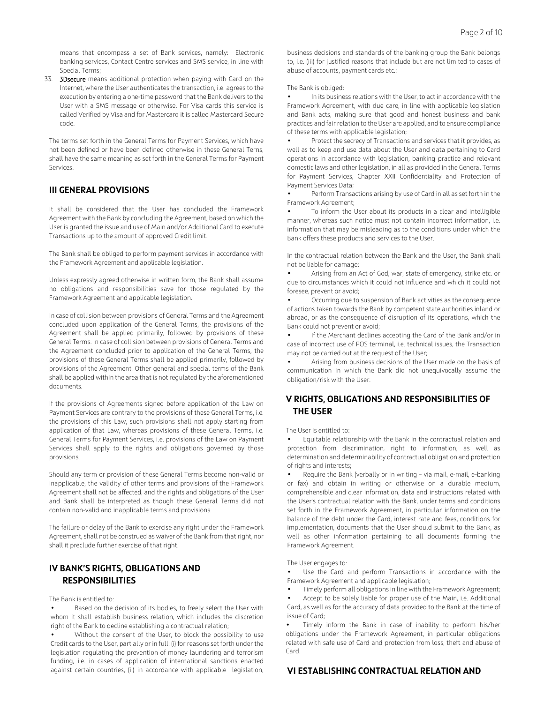means that encompass a set of Bank services, namely: Electronic banking services, Contact Centre services and SMS service, in line with Special Terms;

33. **3Dsecure** means additional protection when paying with Card on the Internet, where the User authenticates the transaction, i.e. agrees to the execution by entering a one-time password that the Bank delivers to the User with a SMS message or otherwise. For Visa cards this service is called Verified by Visa and for Mastercard it is called Mastercard Secure code.

The terms set forth in the General Terms for Payment Services, which have not been defined or have been defined otherwise in these General Terns, shall have the same meaning as set forth in the General Terms for Payment Services.

#### **III GENERAL PROVISIONS**

It shall be considered that the User has concluded the Framework Agreement with the Bank by concluding the Agreement, based on which the User is granted the issue and use of Main and/or Additional Card to execute Transactions up to the amount of approved Credit limit.

The Bank shall be obliged to perform payment services in accordance with the Framework Agreement and applicable legislation.

Unless expressly agreed otherwise in written form, the Bank shall assume no obligations and responsibilities save for those regulated by the Framework Agreement and applicable legislation.

In case of collision between provisions of General Terms and the Agreement concluded upon application of the General Terms, the provisions of the Agreement shall be applied primarily, followed by provisions of these General Terms. In case of collision between provisions of General Terms and the Agreement concluded prior to application of the General Terms, the provisions of these General Terms shall be applied primarily, followed by provisions of the Agreement. Other general and special terms of the Bank shall be applied within the area that is not regulated by the aforementioned documents.

If the provisions of Agreements signed before application of the Law on Payment Services are contrary to the provisions of these General Terms, i.e. the provisions of this Law, such provisions shall not apply starting from application of that Law, whereas provisions of these General Terms, i.e. General Terms for Payment Services, i.e. provisions of the Law on Payment Services shall apply to the rights and obligations governed by those provisions.

Should any term or provision of these General Terms become non-valid or inapplicable, the validity of other terms and provisions of the Framework Agreement shall not be affected, and the rights and obligations of the User and Bank shall be interpreted as though these General Terms did not contain non-valid and inapplicable terms and provisions.

The failure or delay of the Bank to exercise any right under the Framework Agreement, shall not be construed as waiver of the Bank from that right, nor shall it preclude further exercise of that right.

# **IV BANK'S RIGHTS, OBLIGATIONS AND RESPONSIBILITIES**

The Bank is entitled to:

Based on the decision of its bodies, to freely select the User with whom it shall establish business relation, which includes the discretion right of the Bank to decline establishing a contractual relation;

Without the consent of the User, to block the possibility to use Credit cards to the User, partially or in full: (i) for reasons set forth under the legislation regulating the prevention of money laundering and terrorism funding, i.e. in cases of application of international sanctions enacted against certain countries, (ii) in accordance with applicable legislation,

business decisions and standards of the banking group the Bank belongs to, i.e. (iii) for justified reasons that include but are not limited to cases of abuse of accounts, payment cards etc.;

The Bank is obliged:

In its business relations with the User, to act in accordance with the Framework Agreement, with due care, in line with applicable legislation and Bank acts, making sure that good and honest business and bank practices and fair relation to the User are applied, and to ensure compliance of these terms with applicable legislation;

• Protect the secrecy of Transactions and services that it provides, as well as to keep and use data about the User and data pertaining to Card operations in accordance with legislation, banking practice and relevant domestic laws and other legislation, in all as provided in the General Terms for Payment Services, Chapter XXII Confidentiality and Protection of Payment Services Data;

• Perform Transactions arising by use of Card in all as set forth in the Framework Agreement;

• To inform the User about its products in a clear and intelligible manner, whereas such notice must not contain incorrect information, i.e. information that may be misleading as to the conditions under which the Bank offers these products and services to the User.

In the contractual relation between the Bank and the User, the Bank shall not be liable for damage:

• Arising from an Act of God, war, state of emergency, strike etc. or due to circumstances which it could not influence and which it could not foresee, prevent or avoid;

• Occurring due to suspension of Bank activities as the consequence of actions taken towards the Bank by competent state authorities inland or abroad, or as the consequence of disruption of its operations, which the Bank could not prevent or avoid;

• If the Merchant declines accepting the Card of the Bank and/or in case of incorrect use of POS terminal, i.e. technical issues, the Transaction may not be carried out at the request of the User;

• Arising from business decisions of the User made on the basis of communication in which the Bank did not unequivocally assume the obligation/risk with the User.

# **V RIGHTS, OBLIGATIONS AND RESPONSIBILITIES OF THE USER**

#### The User is entitled to:

• Equitable relationship with the Bank in the contractual relation and protection from discrimination, right to information, as well as determination and determinability of contractual obligation and protection of rights and interests;

Require the Bank (verbally or in writing - via mail, e-mail, e-banking or fax) and obtain in writing or otherwise on a durable medium, comprehensible and clear information, data and instructions related with the User's contractual relation with the Bank, under terms and conditions set forth in the Framework Agreement, in particular information on the balance of the debt under the Card, interest rate and fees, conditions for implementation, documents that the User should submit to the Bank, as well as other information pertaining to all documents forming the Framework Agreement.

The User engages to:

Use the Card and perform Transactions in accordance with the Framework Agreement and applicable legislation;

• Timely perform all obligations in line with the Framework Agreement;

• Accept to be solely liable for proper use of the Main, i.e. Additional Card, as well as for the accuracy of data provided to the Bank at the time of issue of Card;

• Timely inform the Bank in case of inability to perform his/her obligations under the Framework Agreement, in particular obligations related with safe use of Card and protection from loss, theft and abuse of Card.

#### **VI ESTABLISHING CONTRACTUAL RELATION AND**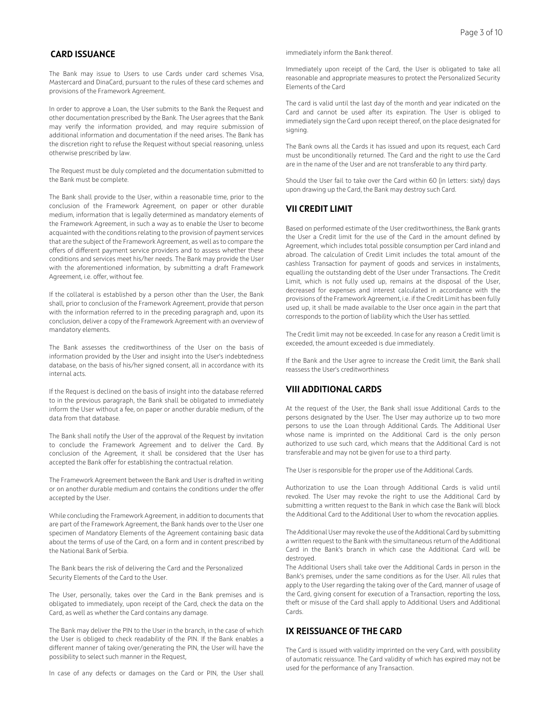## **CARD ISSUANCE**

The Bank may issue to Users to use Cards under card schemes Visa, Mastercard and DinaCard, pursuant to the rules of these card schemes and provisions of the Framework Agreement.

In order to approve a Loan, the User submits to the Bank the Request and other documentation prescribed by the Bank. The User agrees that the Bank may verify the information provided, and may require submission of additional information and documentation if the need arises. The Bank has the discretion right to refuse the Request without special reasoning, unless otherwise prescribed by law.

The Request must be duly completed and the documentation submitted to the Bank must be complete.

The Bank shall provide to the User, within a reasonable time, prior to the conclusion of the Framework Agreement, on paper or other durable medium, information that is legally determined as mandatory elements of the Framework Agreement, in such a way as to enable the User to become acquainted with the conditions relating to the provision of payment services that are the subject of the Framework Agreement, as well as to compare the offers of different payment service providers and to assess whether these conditions and services meet his/her needs. The Bank may provide the User with the aforementioned information, by submitting a draft Framework Agreement, i.e. offer, without fee.

If the collateral is established by a person other than the User, the Bank shall, prior to conclusion of the Framework Agreement, provide that person with the information referred to in the preceding paragraph and, upon its conclusion, deliver a copy of the Framework Agreement with an overview of mandatory elements.

The Bank assesses the creditworthiness of the User on the basis of information provided by the User and insight into the User's indebtedness database, on the basis of his/her signed consent, all in accordance with its internal acts.

If the Request is declined on the basis of insight into the database referred to in the previous paragraph, the Bank shall be obligated to immediately inform the User without a fee, on paper or another durable medium, of the data from that database.

The Bank shall notify the User of the approval of the Request by invitation to conclude the Framework Agreement and to deliver the Card. By conclusion of the Agreement, it shall be considered that the User has accepted the Bank offer for establishing the contractual relation.

The Framework Agreement between the Bank and User is drafted in writing or on another durable medium and contains the conditions under the offer accepted by the User.

While concluding the Framework Agreement, in addition to documents that are part of the Framework Agreement, the Bank hands over to the User one specimen of Mandatory Elements of the Agreement containing basic data about the terms of use of the Card, on a form and in content prescribed by the National Bank of Serbia.

The Bank bears the risk of delivering the Card and the Personalized Security Elements of the Card to the User.

The User, personally, takes over the Card in the Bank premises and is obligated to immediately, upon receipt of the Card, check the data on the Card, as well as whether the Card contains any damage.

The Bank may deliver the PIN to the User in the branch, in the case of which the User is obliged to check readability of the PIN. If the Bank enables a different manner of taking over/generating the PIN, the User will have the possibility to select such manner in the Request,

In case of any defects or damages on the Card or PIN, the User shall

immediately inform the Bank thereof.

Immediately upon receipt of the Card, the User is obligated to take all reasonable and appropriate measures to protect the Personalized Security Elements of the Card

The card is valid until the last day of the month and year indicated on the Card and cannot be used after its expiration. The User is obliged to immediately sign the Card upon receipt thereof, on the place designated for signing.

The Bank owns all the Cards it has issued and upon its request, each Card must be unconditionally returned. The Card and the right to use the Card are in the name of the User and are not transferable to any third party.

Should the User fail to take over the Card within 60 (in letters: sixty) days upon drawing up the Card, the Bank may destroy such Card.

#### **VII CREDIT LIMIT**

Based on performed estimate of the User creditworthiness, the Bank grants the User a Credit limit for the use of the Card in the amount defined by Agreement, which includes total possible consumption per Card inland and abroad. The calculation of Credit Limit includes the total amount of the cashless Transaction for payment of goods and services in instalments, equalling the outstanding debt of the User under Transactions. The Credit Limit, which is not fully used up, remains at the disposal of the User, decreased for expenses and interest calculated in accordance with the provisions of the Framework Agreement, i.e. if the Credit Limit has been fully used up, it shall be made available to the User once again in the part that corresponds to the portion of liability which the User has settled.

The Credit limit may not be exceeded. In case for any reason a Credit limit is exceeded, the amount exceeded is due immediately.

If the Bank and the User agree to increase the Credit limit, the Bank shall reassess the User's creditworthiness

#### **VIII ADDITIONAL CARDS**

At the request of the User, the Bank shall issue Additional Cards to the persons designated by the User. The User may authorize up to two more persons to use the Loan through Additional Cards. The Additional User whose name is imprinted on the Additional Card is the only person authorized to use such card, which means that the Additional Card is not transferable and may not be given for use to a third party.

The User is responsible for the proper use of the Additional Cards.

Authorization to use the Loan through Additional Cards is valid until revoked. The User may revoke the right to use the Additional Card by submitting a written request to the Bank in which case the Bank will block the Additional Card to the Additional User to whom the revocation applies.

The Additional User may revoke the use of the Additional Card by submitting a written request to the Bank with the simultaneous return of the Additional Card in the Bank's branch in which case the Additional Card will be destroyed.

The Additional Users shall take over the Additional Cards in person in the Bank's premises, under the same conditions as for the User. All rules that apply to the User regarding the taking over of the Card, manner of usage of the Card, giving consent for execution of a Transaction, reporting the loss, theft or misuse of the Card shall apply to Additional Users and Additional Cards.

#### **IX REISSUANCE OF THE CARD**

The Card is issued with validity imprinted on the very Card, with possibility of automatic reissuance. The Card validity of which has expired may not be used for the performance of any Transaction.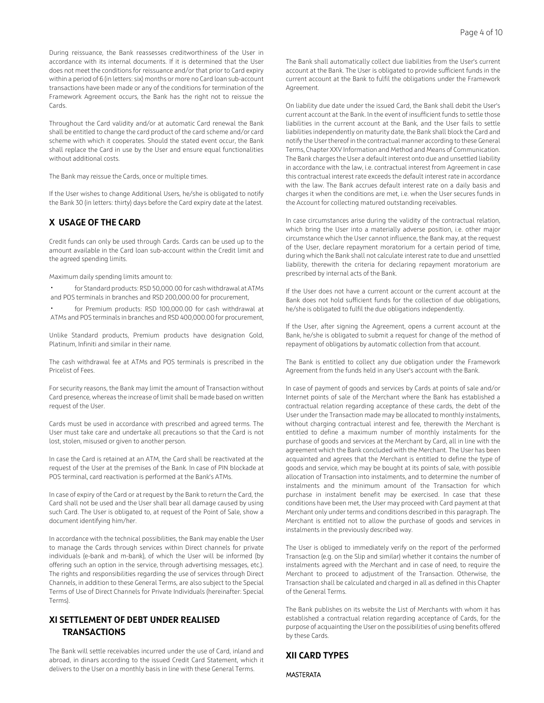During reissuance, the Bank reassesses creditworthiness of the User in accordance with its internal documents. If it is determined that the User does not meet the conditions for reissuance and/or that prior to Card expiry within a period of 6 (in letters: six) months or more no Card loan sub-account transactions have been made or any of the conditions for termination of the Framework Agreement occurs, the Bank has the right not to reissue the Cards.

Throughout the Card validity and/or at automatic Card renewal the Bank shall be entitled to change the card product of the card scheme and/or card scheme with which it cooperates. Should the stated event occur, the Bank shall replace the Card in use by the User and ensure equal functionalities without additional costs.

The Bank may reissue the Cards, once or multiple times.

If the User wishes to change Additional Users, he/she is obligated to notify the Bank 30 (in letters: thirty) days before the Card expiry date at the latest.

#### **X USAGE OF THE CARD**

Credit funds can only be used through Cards. Cards can be used up to the amount available in the Card loan sub-account within the Credit limit and the agreed spending limits.

Maximum daily spending limits amount to:

• for Standard products: RSD 50,000.00 for cash withdrawal at ATMs and POS terminals in branches and RSD 200,000.00 for procurement,

• for Premium products: RSD 100,000.00 for cash withdrawal at ATMs and POS terminals in branches and RSD 400,000.00 for procurement,

Unlike Standard products, Premium products have designation Gold, Platinum, Infiniti and similar in their name.

The cash withdrawal fee at ATMs and POS terminals is prescribed in the Pricelist of Fees.

For security reasons, the Bank may limit the amount of Transaction without Card presence, whereas the increase of limit shall be made based on written request of the User.

Cards must be used in accordance with prescribed and agreed terms. The User must take care and undertake all precautions so that the Card is not lost, stolen, misused or given to another person.

In case the Card is retained at an ATM, the Card shall be reactivated at the request of the User at the premises of the Bank. In case of PIN blockade at POS terminal, card reactivation is performed at the Bank's ATMs.

In case of expiry of the Card or at request by the Bank to return the Card, the Card shall not be used and the User shall bear all damage caused by using such Card. The User is obligated to, at request of the Point of Sale, show a document identifying him/her.

In accordance with the technical possibilities, the Bank may enable the User to manage the Cards through services within Direct channels for private individuals (e-bank and m-bank), of which the User will be informed (by offering such an option in the service, through advertising messages, etc.). The rights and responsibilities regarding the use of services through Direct Channels, in addition to these General Terms, are also subject to the Special Terms of Use of Direct Channels for Private Individuals (hereinafter: Special Terms).

# **XI SETTLEMENT OF DEBT UNDER REALISED TRANSACTIONS**

The Bank will settle receivables incurred under the use of Card, inland and abroad, in dinars according to the issued Credit Card Statement, which it delivers to the User on a monthly basis in line with these General Terms.

The Bank shall automatically collect due liabilities from the User's current account at the Bank. The User is obligated to provide sufficient funds in the current account at the Bank to fulfil the obligations under the Framework Agreement.

On liability due date under the issued Card, the Bank shall debit the User's current account at the Bank. In the event of insufficient funds to settle those liabilities in the current account at the Bank, and the User fails to settle liabilities independently on maturity date, the Bank shall block the Card and notify the User thereof in the contractual manner according to these General Terms, Chapter XXV Information and Method and Means of Communication. The Bank charges the User a default interest onto due and unsettled liability in accordance with the law, i.e. contractual interest from Agreement in case this contractual interest rate exceeds the default interest rate in accordance with the law. The Bank accrues default interest rate on a daily basis and charges it when the conditions are met, i.e. when the User secures funds in the Account for collecting matured outstanding receivables.

In case circumstances arise during the validity of the contractual relation, which bring the User into a materially adverse position, i.e. other major circumstance which the User cannot influence, the Bank may, at the request of the User, declare repayment moratorium for a certain period of time, during which the Bank shall not calculate interest rate to due and unsettled liability, therewith the criteria for declaring repayment moratorium are prescribed by internal acts of the Bank.

If the User does not have a current account or the current account at the Bank does not hold sufficient funds for the collection of due obligations, he/she is obligated to fulfil the due obligations independently.

If the User, after signing the Agreement, opens a current account at the Bank, he/she is obligated to submit a request for change of the method of repayment of obligations by automatic collection from that account.

The Bank is entitled to collect any due obligation under the Framework Agreement from the funds held in any User's account with the Bank.

In case of payment of goods and services by Cards at points of sale and/or Internet points of sale of the Merchant where the Bank has established a contractual relation regarding acceptance of these cards, the debt of the User under the Transaction made may be allocated to monthly instalments, without charging contractual interest and fee, therewith the Merchant is entitled to define a maximum number of monthly instalments for the purchase of goods and services at the Merchant by Card, all in line with the agreement which the Bank concluded with the Merchant. The User has been acquainted and agrees that the Merchant is entitled to define the type of goods and service, which may be bought at its points of sale, with possible allocation of Transaction into instalments, and to determine the number of instalments and the minimum amount of the Transaction for which purchase in instalment benefit may be exercised. In case that these conditions have been met, the User may proceed with Card payment at that Merchant only under terms and conditions described in this paragraph. The Merchant is entitled not to allow the purchase of goods and services in instalments in the previously described way.

The User is obliged to immediately verify on the report of the performed Transaction (e.g. on the Slip and similar) whether it contains the number of instalments agreed with the Merchant and in case of need, to require the Merchant to proceed to adjustment of the Transaction. Otherwise, the Transaction shall be calculated and charged in all as defined in this Chapter of the General Terms.

The Bank publishes on its website the List of Merchants with whom it has established a contractual relation regarding acceptance of Cards, for the purpose of acquainting the User on the possibilities of using benefits offered by these Cards.

#### **XII CARD TYPES**

**MASTERATA**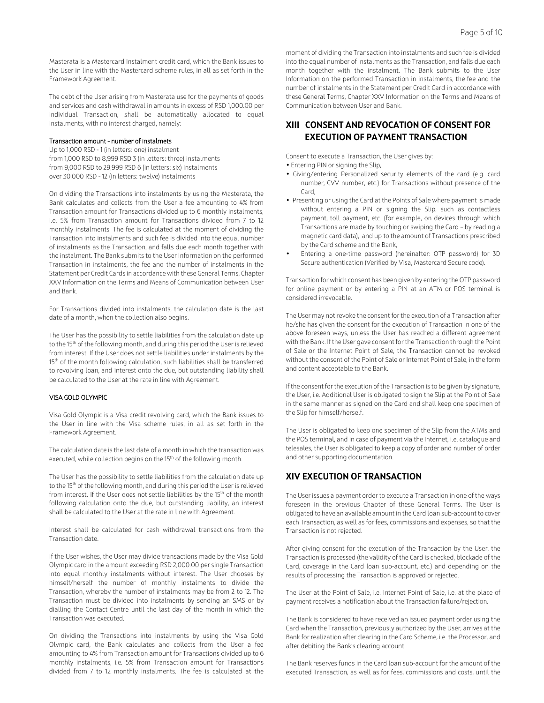Masterata is a Mastercard Instalment credit card, which the Bank issues to the User in line with the Mastercard scheme rules, in all as set forth in the Framework Agreement.

The debt of the User arising from Masterata use for the payments of goods and services and cash withdrawal in amounts in excess of RSD 1,000.00 per individual Transaction, shall be automatically allocated to equal instalments, with no interest charged, namely:

#### Transaction amount - number of instalmets

Up to 1,000 RSD - 1 (in letters: one) instalment from 1,000 RSD to 8,999 RSD 3 (in letters: three) instalments from 9,000 RSD to 29,999 RSD 6 (in letters: six) instalments over 30,000 RSD - 12 (in letters: twelve) instalments

On dividing the Transactions into instalments by using the Masterata, the Bank calculates and collects from the User a fee amounting to 4% from Transaction amount for Transactions divided up to 6 monthly instalments, i.e. 5% from Transaction amount for Transactions divided from 7 to 12 monthly instalments. The fee is calculated at the moment of dividing the Transaction into instalments and such fee is divided into the equal number of instalments as the Transaction, and falls due each month together with the instalment. The Bank submits to the User Information on the performed Transaction in instalments, the fee and the number of instalments in the Statement per Credit Cards in accordance with these General Terms, Chapter XXV Information on the Terms and Means of Communication between User and Bank.

For Transactions divided into instalments, the calculation date is the last date of a month, when the collection also begins.

The User has the possibility to settle liabilities from the calculation date up to the 15<sup>th</sup> of the following month, and during this period the User is relieved from interest. If the User does not settle liabilities under instalments by the 15<sup>th</sup> of the month following calculation, such liabilities shall be transferred to revolving loan, and interest onto the due, but outstanding liability shall be calculated to the User at the rate in line with Agreement.

#### VISA GOLD OLYMPIC

Visa Gold Olympic is a Visa credit revolving card, which the Bank issues to the User in line with the Visa scheme rules, in all as set forth in the Framework Agreement.

The calculation date is the last date of a month in which the transaction was executed, while collection begins on the 15<sup>th</sup> of the following month.

The User has the possibility to settle liabilities from the calculation date up to the 15<sup>th</sup> of the following month, and during this period the User is relieved from interest. If the User does not settle liabilities by the 15<sup>th</sup> of the month following calculation onto the due, but outstanding liability, an interest shall be calculated to the User at the rate in line with Agreement.

Interest shall be calculated for cash withdrawal transactions from the Transaction date.

If the User wishes, the User may divide transactions made by the Visa Gold Olympic card in the amount exceeding RSD 2,000.00 per single Transaction into equal monthly instalments without interest. The User chooses by himself/herself the number of monthly instalments to divide the Transaction, whereby the number of instalments may be from 2 to 12. The Transaction must be divided into instalments by sending an SMS or by dialling the Contact Centre until the last day of the month in which the Transaction was executed.

On dividing the Transactions into instalments by using the Visa Gold Olympic card, the Bank calculates and collects from the User a fee amounting to 4% from Transaction amount for Transactions divided up to 6 monthly instalments, i.e. 5% from Transaction amount for Transactions divided from 7 to 12 monthly instalments. The fee is calculated at the

moment of dividing the Transaction into instalments and such fee is divided into the equal number of instalments as the Transaction, and falls due each month together with the instalment. The Bank submits to the User Information on the performed Transaction in instalments, the fee and the number of instalments in the Statement per Credit Card in accordance with these General Terms, Chapter XXV Information on the Terms and Means of Communication between User and Bank.

## **XIII CONSENT AND REVOCATION OF CONSENT FOR EXECUTION OF PAYMENT TRANSACTION**

Consent to execute a Transaction, the User gives by:

- Entering PIN or signing the Slip,
- Giving/entering Personalized security elements of the card (e.g. card number, CVV number, etc.) for Transactions without presence of the Card,
- Presenting or using the Card at the Points of Sale where payment is made without entering a PIN or signing the Slip, such as contactless payment, toll payment, etc. (for example, on devices through which Transactions are made by touching or swiping the Card – by reading a magnetic card data), and up to the amount of Transactions prescribed by the Card scheme and the Bank,
- Entering a one-time password (hereinafter: OTP password) for 3D Secure authentication (Verified by Visa, Mastercard Secure code).

Transaction for which consent has been given by entering the OTP password for online payment or by entering a PIN at an ATM or POS terminal is considered irrevocable.

The User may not revoke the consent for the execution of a Transaction after he/she has given the consent for the execution of Transaction in one of the above foreseen ways, unless the User has reached a different agreement with the Bank. If the User gave consent for the Transaction through the Point of Sale or the Internet Point of Sale, the Transaction cannot be revoked without the consent of the Point of Sale or Internet Point of Sale, in the form and content acceptable to the Bank.

If the consent for the execution of the Transaction is to be given by signature, the User, i.e. Additional User is obligated to sign the Slip at the Point of Sale in the same manner as signed on the Card and shall keep one specimen of the Slip for himself/herself.

The User is obligated to keep one specimen of the Slip from the ATMs and the POS terminal, and in case of payment via the Internet, i.e. catalogue and telesales, the User is obligated to keep a copy of order and number of order and other supporting documentation.

#### **XIV EXECUTION OF TRANSACTION**

The User issues a payment order to execute a Transaction in one of the ways foreseen in the previous Chapter of these General Terms. The User is obligated to have an available amount in the Card loan sub-account to cover each Transaction, as well as for fees, commissions and expenses, so that the Transaction is not rejected.

After giving consent for the execution of the Transaction by the User, the Transaction is processed (the validity of the Card is checked, blockade of the Card, coverage in the Card loan sub-account, etc.) and depending on the results of processing the Transaction is approved or rejected.

The User at the Point of Sale, i.e. Internet Point of Sale, i.e. at the place of payment receives a notification about the Transaction failure/rejection.

The Bank is considered to have received an issued payment order using the Card when the Transaction, previously authorized by the User, arrives at the Bank for realization after clearing in the Card Scheme, i.e. the Processor, and after debiting the Bank's clearing account.

The Bank reserves funds in the Card loan sub-account for the amount of the executed Transaction, as well as for fees, commissions and costs, until the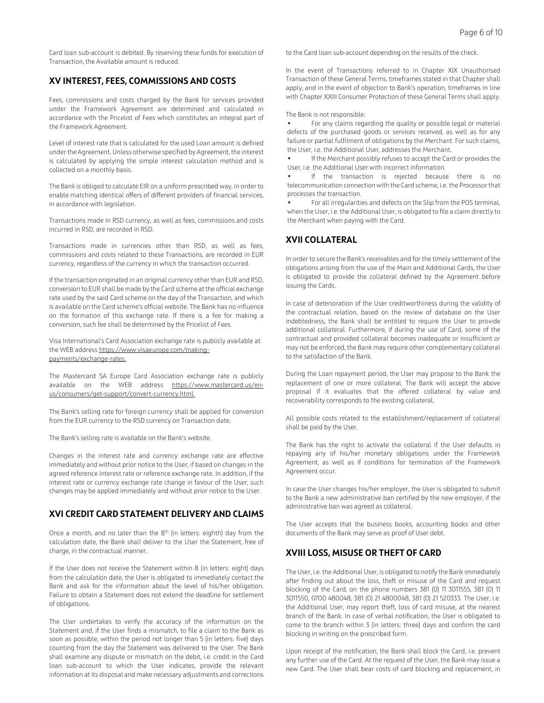Card loan sub-account is debited. By reserving these funds for execution of Transaction, the Available amount is reduced.

## **XV INTEREST, FEES, COMMISSIONS AND COSTS**

Fees, commissions and costs charged by the Bank for services provided under the Framework Agreement are determined and calculated in accordance with the Pricelist of Fees which constitutes an integral part of the Framework Agreement.

Level of interest rate that is calculated for the used Loan amount is defined under the Agreement. Unless otherwise specified by Agreement, the interest is calculated by applying the simple interest calculation method and is collected on a monthly basis.

The Bank is obliged to calculate EIR on a uniform prescribed way, in order to enable matching identical offers of different providers of financial services, in accordance with legislation.

Transactions made in RSD currency, as well as fees, commissions and costs incurred in RSD, are recorded in RSD.

Transactions made in currencies other than RSD, as well as fees, commissions and costs related to these Transactions, are recorded in EUR currency, regardless of the currency in which the transaction occurred.

If the transaction originated in an original currency other than EUR and RSD, conversion to EUR shall be made by the Card scheme at the official exchange rate used by the said Card scheme on the day of the Transaction, and which is available on the Card scheme's official website. The Bank has no influence on the formation of this exchange rate. If there is a fee for making a conversion, such fee shall be determined by the Pricelist of Fees.

Visa International's Card Association exchange rate is publicly available at the WEB address https://www.visaeurope.com/makingpayments/exchange-rates.

The Mastercard SA Europe Card Association exchange rate is publicly available on the WEB address https://www.mastercard.us/enus/consumers/get-support/convert-currency.html.

The Bank's selling rate for foreign currency shall be applied for conversion from the EUR currency to the RSD currency on Transaction date.

The Bank's selling rate is available on the Bank's website.

Changes in the interest rate and currency exchange rate are effective immediately and without prior notice to the User, if based on changes in the agreed reference interest rate or reference exchange rate. In addition, if the interest rate or currency exchange rate change in favour of the User, such changes may be applied immediately and without prior notice to the User.

# **XVI CREDIT CARD STATEMENT DELIVERY AND CLAIMS**

Once a month, and no later than the  $8<sup>th</sup>$  (in letters: eighth) day from the calculation date, the Bank shall deliver to the User the Statement, free of charge, in the contractual manner.

If the User does not receive the Statement within 8 (in letters: eight) days from the calculation date, the User is obligated to immediately contact the Bank and ask for the information about the level of his/her obligation. Failure to obtain a Statement does not extend the deadline for settlement of obligations.

The User undertakes to verify the accuracy of the information on the Statement and, if the User finds a mismatch, to file a claim to the Bank as soon as possible, within the period not longer than 5 (in letters: five) days counting from the day the Statement was delivered to the User. The Bank shall examine any dispute or mismatch on the debit, i.e. credit in the Card loan sub-account to which the User indicates, provide the relevant information at its disposal and make necessary adjustments and corrections

to the Card loan sub-account depending on the results of the check.

In the event of Transactions referred to in Chapter XIX Unauthorised Transaction of these General Terms, timeframes stated in that Chapter shall apply, and in the event of objection to Bank's operation, timeframes in line with Chapter XXIII Consumer Protection of these General Terms shall apply.

The Bank is not responsible:

• For any claims regarding the quality or possible legal or material defects of the purchased goods or services received, as well as for any failure or partial fulfilment of obligations by the Merchant. For such claims, the User, i.e. the Additional User, addresses the Merchant.

If the Merchant possibly refuses to accept the Card or provides the User, i.e. the Additional User with incorrect information.

If the transaction is rejected because there is no telecommunication connection with the Card scheme, i.e. the Processor that processes the transaction.

• For all irregularities and defects on the Slip from the POS terminal, when the User, i.e. the Additional User, is obligated to file a claim directly to the Merchant when paying with the Card.

#### **XVII COLLATERAL**

In order to secure the Bank's receivables and for the timely settlement of the obligations arising from the use of the Main and Additional Cards, the User is obligated to provide the collateral defined by the Agreement before issuing the Cards.

In case of deterioration of the User creditworthiness during the validity of the contractual relation, based on the review of database on the User indebtedness, the Bank shall be entitled to require the User to provide additional collateral. Furthermore, if during the use of Card, some of the contractual and provided collateral becomes inadequate or insufficient or may not be enforced, the Bank may require other complementary collateral to the satisfaction of the Bank.

During the Loan repayment period, the User may propose to the Bank the replacement of one or more collateral. The Bank will accept the above proposal if it evaluates that the offered collateral by value and recoverability corresponds to the existing collateral.

All possible costs related to the establishment/replacement of collateral shall be paid by the User.

The Bank has the right to activate the collateral if the User defaults in repaying any of his/her monetary obligations under the Framework Agreement, as well as if conditions for termination of the Framework Agreement occur.

In case the User changes his/her employer, the User is obligated to submit to the Bank a new administrative ban certified by the new employer, if the administrative ban was agreed as collateral.

The User accepts that the business books, accounting books and other documents of the Bank may serve as proof of User debt.

## **XVIII LOSS, MISUSE OR THEFT OF CARD**

The User, i.e. the Additional User, is obligated to notify the Bank immediately after finding out about the loss, theft or misuse of the Card and request blocking of the Card, on the phone numbers 381 (0) 11 3011555, 381 (0) 11 3011550, 0700 480048, 381 (0) 21 4800048, 381 (0) 21 520333. The User, i.e. the Additional User, may report theft, loss of card misuse, at the nearest branch of the Bank. In case of verbal notification, the User is obligated to come to the branch within 3 (in letters: three) days and confirm the card blocking in writing on the prescribed form.

Upon receipt of the notification, the Bank shall block the Card, i.e. prevent any further use of the Card. At the request of the User, the Bank may issue a new Card. The User shall bear costs of card blocking and replacement, in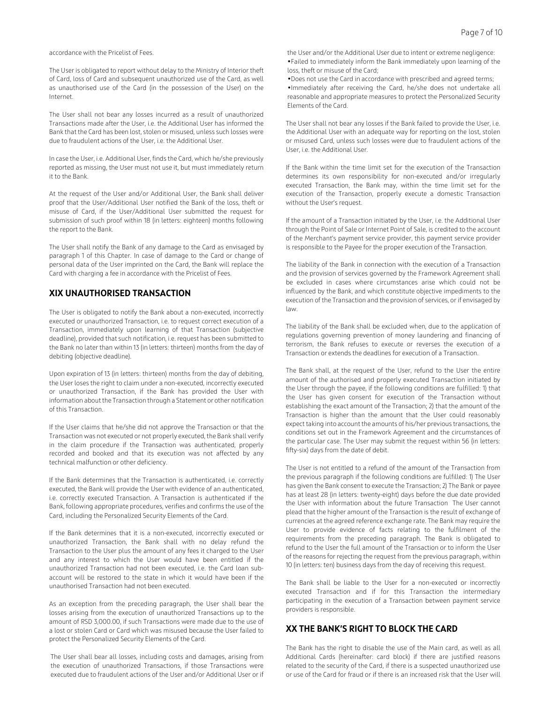accordance with the Pricelist of Fees.

The User is obligated to report without delay to the Ministry of Interior theft of Card, loss of Card and subsequent unauthorized use of the Card, as well as unauthorised use of the Card (in the possession of the User) on the Internet.

The User shall not bear any losses incurred as a result of unauthorized Transactions made after the User, i.e. the Additional User has informed the Bank that the Card has been lost, stolen or misused, unless such losses were due to fraudulent actions of the User, i.e. the Additional User.

In case the User, i.e. Additional User, finds the Card, which he/she previously reported as missing, the User must not use it, but must immediately return it to the Bank.

At the request of the User and/or Additional User, the Bank shall deliver proof that the User/Additional User notified the Bank of the loss, theft or misuse of Card, if the User/Additional User submitted the request for submission of such proof within 18 (in letters: eighteen) months following the report to the Bank.

The User shall notify the Bank of any damage to the Card as envisaged by paragraph 1 of this Chapter. In case of damage to the Card or change of personal data of the User imprinted on the Card, the Bank will replace the Card with charging a fee in accordance with the Pricelist of Fees.

#### **XIX UNAUTHORISED TRANSACTION**

The User is obligated to notify the Bank about a non-executed, incorrectly executed or unauthorized Transaction, i.e. to request correct execution of a Transaction, immediately upon learning of that Transaction (subjective deadline), provided that such notification, i.e. request has been submitted to the Bank no later than within 13 (in letters: thirteen) months from the day of debiting (objective deadline).

Upon expiration of 13 (in letters: thirteen) months from the day of debiting, the User loses the right to claim under a non-executed, incorrectly executed or unauthorized Transaction, if the Bank has provided the User with information about the Transaction through a Statement or other notification of this Transaction.

If the User claims that he/she did not approve the Transaction or that the Transaction was not executed or not properly executed, the Bank shall verify in the claim procedure if the Transaction was authenticated, properly recorded and booked and that its execution was not affected by any technical malfunction or other deficiency.

If the Bank determines that the Transaction is authenticated, i.e. correctly executed, the Bank will provide the User with evidence of an authenticated, i.e. correctly executed Transaction. A Transaction is authenticated if the Bank, following appropriate procedures, verifies and confirms the use of the Card, including the Personalized Security Elements of the Card.

If the Bank determines that it is a non-executed, incorrectly executed or unauthorized Transaction, the Bank shall with no delay refund the Transaction to the User plus the amount of any fees it charged to the User and any interest to which the User would have been entitled if the unauthorized Transaction had not been executed, i.e. the Card loan subaccount will be restored to the state in which it would have been if the unauthorised Transaction had not been executed.

As an exception from the preceding paragraph, the User shall bear the losses arising from the execution of unauthorized Transactions up to the amount of RSD 3,000.00, if such Transactions were made due to the use of a lost or stolen Card or Card which was misused because the User failed to protect the Personalized Security Elements of the Card.

The User shall bear all losses, including costs and damages, arising from the execution of unauthorized Transactions, if those Transactions were executed due to fraudulent actions of the User and/or Additional User or if

the User and/or the Additional User due to intent or extreme negligence: •Failed to immediately inform the Bank immediately upon learning of the loss, theft or misuse of the Card;

•Does not use the Card in accordance with prescribed and agreed terms; •Immediately after receiving the Card, he/she does not undertake all reasonable and appropriate measures to protect the Personalized Security Elements of the Card.

The User shall not bear any losses if the Bank failed to provide the User, i.e. the Additional User with an adequate way for reporting on the lost, stolen or misused Card, unless such losses were due to fraudulent actions of the User, i.e. the Additional User.

If the Bank within the time limit set for the execution of the Transaction determines its own responsibility for non-executed and/or irregularly executed Transaction, the Bank may, within the time limit set for the execution of the Transaction, properly execute a domestic Transaction without the User's request.

If the amount of a Transaction initiated by the User, i.e. the Additional User through the Point of Sale or Internet Point of Sale, is credited to the account of the Merchant's payment service provider, this payment service provider is responsible to the Payee for the proper execution of the Transaction.

The liability of the Bank in connection with the execution of a Transaction and the provision of services governed by the Framework Agreement shall be excluded in cases where circumstances arise which could not be influenced by the Bank, and which constitute objective impediments to the execution of the Transaction and the provision of services, or if envisaged by law.

The liability of the Bank shall be excluded when, due to the application of regulations governing prevention of money laundering and financing of terrorism, the Bank refuses to execute or reverses the execution of a Transaction or extends the deadlines for execution of a Transaction.

The Bank shall, at the request of the User, refund to the User the entire amount of the authorised and properly executed Transaction initiated by the User through the payee, if the following conditions are fulfilled: 1) that the User has given consent for execution of the Transaction without establishing the exact amount of the Transaction; 2) that the amount of the Transaction is higher than the amount that the User could reasonably expect taking into account the amounts of his/her previous transactions, the conditions set out in the Framework Agreement and the circumstances of the particular case. The User may submit the request within 56 (in letters: fifty-six) days from the date of debit.

The User is not entitled to a refund of the amount of the Transaction from the previous paragraph if the following conditions are fulfilled: 1) The User has given the Bank consent to execute the Transaction; 2) The Bank or payee has at least 28 (in letters: twenty-eight) days before the due date provided the User with information about the future Transaction The User cannot plead that the higher amount of the Transaction is the result of exchange of currencies at the agreed reference exchange rate. The Bank may require the User to provide evidence of facts relating to the fulfilment of the requirements from the preceding paragraph. The Bank is obligated to refund to the User the full amount of the Transaction or to inform the User of the reasons for rejecting the request from the previous paragraph, within 10 (in letters: ten) business days from the day of receiving this request.

The Bank shall be liable to the User for a non-executed or incorrectly executed Transaction and if for this Transaction the intermediary participating in the execution of a Transaction between payment service providers is responsible.

#### **XX THE BANK'S RIGHT TO BLOCK THE CARD**

The Bank has the right to disable the use of the Main card, as well as all Additional Cards (hereinafter: card block) if there are justified reasons related to the security of the Card, if there is a suspected unauthorized use or use of the Card for fraud or if there is an increased risk that the User will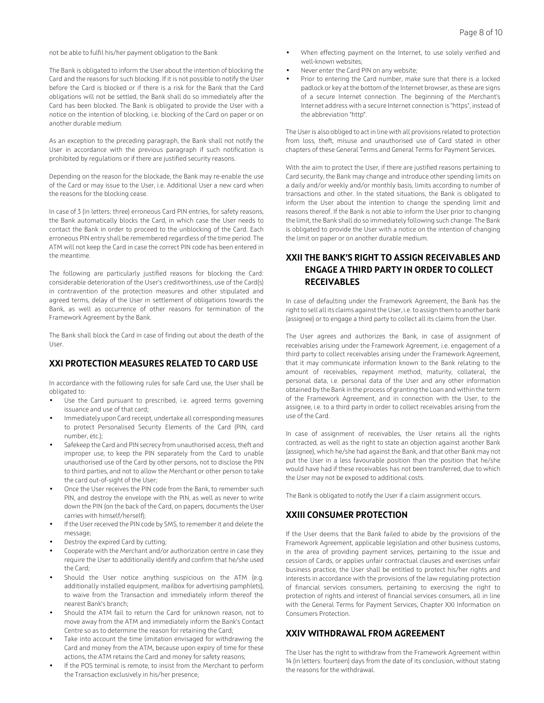not be able to fulfil his/her payment obligation to the Bank

The Bank is obligated to inform the User about the intention of blocking the Card and the reasons for such blocking. If it is not possible to notify the User before the Card is blocked or if there is a risk for the Bank that the Card obligations will not be settled, the Bank shall do so immediately after the Card has been blocked. The Bank is obligated to provide the User with a notice on the intention of blocking, i.e. blocking of the Card on paper or on another durable medium.

As an exception to the preceding paragraph, the Bank shall not notify the User in accordance with the previous paragraph if such notification is prohibited by regulations or if there are justified security reasons.

Depending on the reason for the blockade, the Bank may re-enable the use of the Card or may issue to the User, i.e. Additional User a new card when the reasons for the blocking cease.

In case of 3 (in letters: three) erroneous Card PIN entries, for safety reasons, the Bank automatically blocks the Card, in which case the User needs to contact the Bank in order to proceed to the unblocking of the Card. Each erroneous PIN entry shall be remembered regardless of the time period. The ATM will not keep the Card in case the correct PIN code has been entered in the meantime.

The following are particularly justified reasons for blocking the Card: considerable deterioration of the User's creditworthiness, use of the Card(s) in contravention of the protection measures and other stipulated and agreed terms, delay of the User in settlement of obligations towards the Bank, as well as occurrence of other reasons for termination of the Framework Agreement by the Bank.

The Bank shall block the Card in case of finding out about the death of the User.

#### **XXI PROTECTION MEASURES RELATED TO CARD USE**

In accordance with the following rules for safe Card use, the User shall be obligated to:

- Use the Card pursuant to prescribed, i.e. agreed terms governing issuance and use of that card;
- Immediately upon Card receipt, undertake all corresponding measures to protect Personalised Security Elements of the Card (PIN, card number, etc.);
- Safekeep the Card and PIN secrecy from unauthorised access, theft and improper use, to keep the PIN separately from the Card to unable unauthorised use of the Card by other persons, not to disclose the PIN to third parties, and not to allow the Merchant or other person to take the card out-of-sight of the User;
- Once the User receives the PIN code from the Bank, to remember such PIN, and destroy the envelope with the PIN, as well as never to write down the PIN (on the back of the Card, on papers, documents the User carries with himself/herself);
- If the User received the PIN code by SMS, to remember it and delete the message;
- Destroy the expired Card by cutting;
- Cooperate with the Merchant and/or authorization centre in case they require the User to additionally identify and confirm that he/she used the Card;
- Should the User notice anything suspicious on the ATM (e.g. additionally installed equipment, mailbox for advertising pamphlets), to waive from the Transaction and immediately inform thereof the nearest Bank's branch;
- Should the ATM fail to return the Card for unknown reason, not to move away from the ATM and immediately inform the Bank's Contact Centre so as to determine the reason for retaining the Card;
- Take into account the time limitation envisaged for withdrawing the Card and money from the ATM, because upon expiry of time for these actions, the ATM retains the Card and money for safety reasons;
- If the POS terminal is remote, to insist from the Merchant to perform the Transaction exclusively in his/her presence;
- When effecting payment on the Internet, to use solely verified and well-known websites;
- Never enter the Card PIN on any website;
- Prior to entering the Card number, make sure that there is a locked padlock or key at the bottom of the Internet browser, as these are signs of a secure Internet connection. The beginning of the Merchant's Internet address with a secure Internet connection is "https", instead of the abbreviation "http".

The User is also obliged to act in line with all provisions related to protection from loss, theft, misuse and unauthorised use of Card stated in other chapters of these General Terms and General Terms for Payment Services.

With the aim to protect the User, if there are justified reasons pertaining to Card security, the Bank may change and introduce other spending limits on a daily and/or weekly and/or monthly basis, limits according to number of transactions and other. In the stated situations, the Bank is obligated to inform the User about the intention to change the spending limit and reasons thereof. If the Bank is not able to inform the User prior to changing the limit, the Bank shall do so immediately following such change. The Bank is obligated to provide the User with a notice on the intention of changing the limit on paper or on another durable medium.

# **XXII THE BANK'S RIGHT TO ASSIGN RECEIVABLES AND ENGAGE A THIRD PARTY IN ORDER TO COLLECT RECEIVABLES**

In case of defaulting under the Framework Agreement, the Bank has the right to sell all its claims against the User, i.e. to assign them to another bank (assignee) or to engage a third party to collect all its claims from the User.

The User agrees and authorizes the Bank, in case of assignment of receivables arising under the Framework Agreement, i.e. engagement of a third party to collect receivables arising under the Framework Agreement, that it may communicate information known to the Bank relating to the amount of receivables, repayment method, maturity, collateral, the personal data, i.e. personal data of the User and any other information obtained by the Bank in the process of granting the Loan and within the term of the Framework Agreement, and in connection with the User, to the assignee, i.e. to a third party in order to collect receivables arising from the use of the Card.

In case of assignment of receivables, the User retains all the rights contracted, as well as the right to state an objection against another Bank (assignee), which he/she had against the Bank, and that other Bank may not put the User in a less favourable position than the position that he/she would have had if these receivables has not been transferred, due to which the User may not be exposed to additional costs.

The Bank is obligated to notify the User if a claim assignment occurs.

# **XXIII CONSUMER PROTECTION**

If the User deems that the Bank failed to abide by the provisions of the Framework Agreement, applicable legislation and other business customs, in the area of providing payment services, pertaining to the issue and cession of Cards, or applies unfair contractual clauses and exercises unfair business practice, the User shall be entitled to protect his/her rights and interests in accordance with the provisions of the law regulating protection of financial services consumers, pertaining to exercising the right to protection of rights and interest of financial services consumers, all in line with the General Terms for Payment Services, Chapter XXI Information on Consumers Protection.

#### **XXIV WITHDRAWAL FROM AGREEMENT**

The User has the right to withdraw from the Framework Agreement within 14 (in letters: fourteen) days from the date of its conclusion, without stating the reasons for the withdrawal.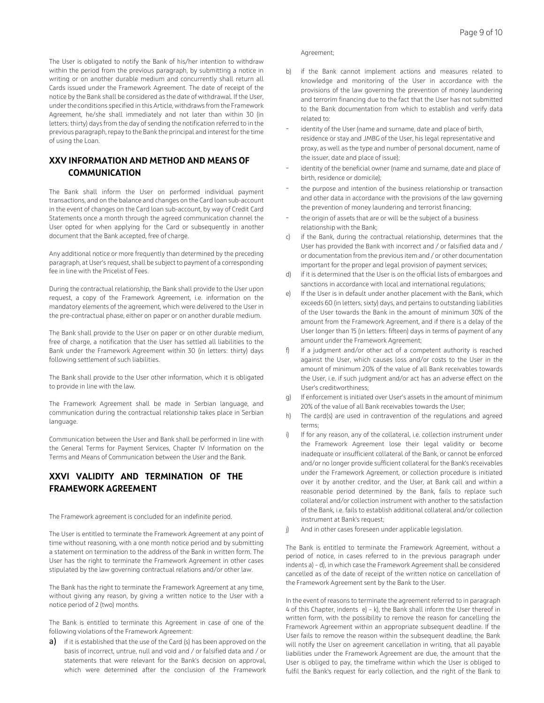The User is obligated to notify the Bank of his/her intention to withdraw within the period from the previous paragraph, by submitting a notice in writing or on another durable medium and concurrently shall return all Cards issued under the Framework Agreement. The date of receipt of the notice by the Bank shall be considered as the date of withdrawal. If the User, under the conditions specified in this Article, withdraws from the Framework Agreement, he/she shall immediately and not later than within 30 (in letters: thirty) days from the day of sending the notification referred to in the previous paragraph, repay to the Bank the principal and interest for the time of using the Loan.

# **XXV INFORMATION AND METHOD AND MEANS OF COMMUNICATION**

The Bank shall inform the User on performed individual payment transactions, and on the balance and changes on the Card loan sub-account in the event of changes on the Card loan sub-account, by way of Credit Card Statements once a month through the agreed communication channel the User opted for when applying for the Card or subsequently in another document that the Bank accepted, free of charge.

Any additional notice or more frequently than determined by the preceding paragraph, at User's request, shall be subject to payment of a corresponding fee in line with the Pricelist of Fees.

During the contractual relationship, the Bank shall provide to the User upon request, a copy of the Framework Agreement, i.e. information on the mandatory elements of the agreement, which were delivered to the User in the pre-contractual phase, either on paper or on another durable medium.

The Bank shall provide to the User on paper or on other durable medium, free of charge, a notification that the User has settled all liabilities to the Bank under the Framework Agreement within 30 (in letters: thirty) days following settlement of such liabilities.

The Bank shall provide to the User other information, which it is obligated to provide in line with the law.

The Framework Agreement shall be made in Serbian language, and communication during the contractual relationship takes place in Serbian language.

Communication between the User and Bank shall be performed in line with the General Terms for Payment Services, Chapter IV Information on the Terms and Means of Communication between the User and the Bank.

# **XXVI VALIDITY AND TERMINATION OF THE FRAMEWORK AGREEMENT**

The Framework agreement is concluded for an indefinite period.

The User is entitled to terminate the Framework Agreement at any point of time without reasoning, with a one month notice period and by submitting a statement on termination to the address of the Bank in written form. The User has the right to terminate the Framework Agreement in other cases stipulated by the law governing contractual relations and/or other law.

The Bank has the right to terminate the Framework Agreement at any time, without giving any reason, by giving a written notice to the User with a notice period of 2 (two) months.

The Bank is entitled to terminate this Agreement in case of one of the following violations of the Framework Agreement:

a) if it is established that the use of the Card (s) has been approved on the basis of incorrect, untrue, null and void and / or falsified data and / or statements that were relevant for the Bank's decision on approval, which were determined after the conclusion of the Framework

Agreement;

- b) if the Bank cannot implement actions and measures related to knowledge and monitoring of the User in accordance with the provisions of the law governing the prevention of money laundering and terrorim financing due to the fact that the User has not submitted to the Bank documentation from which to establish and verify data related to:
- identity of the User (name and surname, date and place of birth, residence or stay and JMBG of the User, his legal representative and proxy, as well as the type and number of personal document, name of the issuer, date and place of issue);
- identity of the beneficial owner (name and surname, date and place of birth, residence or domicile);
- the purpose and intention of the business relationship or transaction and other data in accordance with the provisions of the law governing the prevention of money laundering and terrorist financing;
- the origin of assets that are or will be the subject of a business relationship with the Bank;
- c) if the Bank, during the contractual relationship, determines that the User has provided the Bank with incorrect and / or falsified data and / or documentation from the previous item and / or other documentation important for the proper and legal provision of payment services;
- d) if it is determined that the User is on the official lists of embargoes and sanctions in accordance with local and international regulations;
- e) If the User is in default under another placement with the Bank, which exceeds 60 (in letters; sixty) days, and pertains to outstanding liabilities of the User towards the Bank in the amount of minimum 30% of the amount from the Framework Agreement, and if there is a delay of the User longer than 15 (in letters: fifteen) days in terms of payment of any amount under the Framework Agreement;
- f) If a judgment and/or other act of a competent authority is reached against the User, which causes loss and/or costs to the User in the amount of minimum 20% of the value of all Bank receivables towards the User, i.e. if such judgment and/or act has an adverse effect on the User's creditworthiness;
- g) If enforcement is initiated over User's assets in the amount of minimum 20% of the value of all Bank receivables towards the User;
- h) The card(s) are used in contravention of the regulations and agreed terms;
- i) If for any reason, any of the collateral, i.e. collection instrument under the Framework Agreement lose their legal validity or become inadequate or insufficient collateral of the Bank, or cannot be enforced and/or no longer provide sufficient collateral for the Bank's receivables under the Framework Agreement, or collection procedure is initiated over it by another creditor, and the User, at Bank call and within a reasonable period determined by the Bank, fails to replace such collateral and/or collection instrument with another to the satisfaction of the Bank, i.e. fails to establish additional collateral and/or collection instrument at Bank's request;
- j) And in other cases foreseen under applicable legislation.

The Bank is entitled to terminate the Framework Agreement, without a period of notice, in cases referred to in the previous paragraph under indents a) – d), in which case the Framework Agreement shall be considered cancelled as of the date of receipt of the written notice on cancellation of the Framework Agreement sent by the Bank to the User.

In the event of reasons to terminate the agreement referred to in paragraph 4 of this Chapter, indents e) – k), the Bank shall inform the User thereof in written form, with the possibility to remove the reason for cancelling the Framework Agreement within an appropriate subsequent deadline. If the User fails to remove the reason within the subsequent deadline, the Bank will notify the User on agreement cancellation in writing, that all payable liabilities under the Framework Agreement are due, the amount that the User is obliged to pay, the timeframe within which the User is obliged to fulfil the Bank's request for early collection, and the right of the Bank to